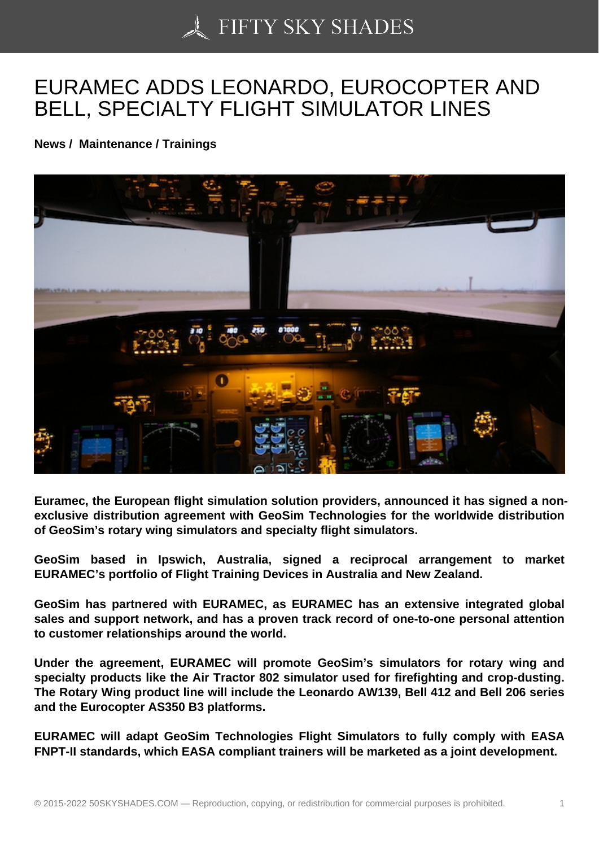## [EURAMEC ADDS LEO](https://50skyshades.com)NARDO, EUROCOPTER AND BELL, SPECIALTY FLIGHT SIMULATOR LINES

News / Maintenance / Trainings

Euramec, the European flight simulation solution providers, announced it has signed a nonexclusive distribution agreement with GeoSim Technologies for the worldwide distribution of GeoSim's rotary wing simulators and specialty flight simulators.

GeoSim based in Ipswich, Australia, signed a reciprocal arrangement to market EURAMEC's portfolio of Flight Training Devices in Australia and New Zealand.

GeoSim has partnered with EURAMEC, as EURAMEC has an extensive integrated global sales and support network, and has a proven track record of one-to-one personal attention to customer relationships around the world.

Under the agreement, EURAMEC will promote GeoSim's simulators for rotary wing and specialty products like the Air Tractor 802 simulator used for firefighting and crop-dusting. The Rotary Wing product line will include the Leonardo AW139, Bell 412 and Bell 206 series and the Eurocopter AS350 B3 platforms.

EURAMEC will adapt GeoSim Technologies Flight Simulators to fully comply with EASA FNPT-II standards, which EASA compliant trainers will be marketed as a joint development.